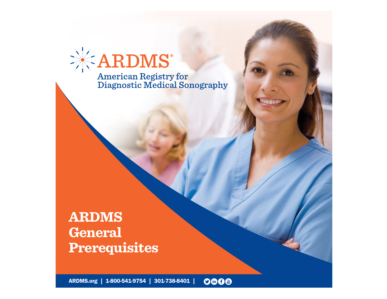

# **ARDMS General Prerequisites**

[ARDMS.org](https://www.ardms.org/) | [1-800-541-9754](tel:18005419754) | [301-738-8401](tel:3017388401) |0008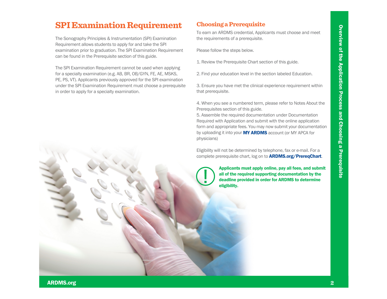# **Choosing a Prerequisite**

To earn an ARDMS credential, Applicants must choose and meet the requirements of a prerequisite.

Please follow the steps below.

- 1. Review the Prerequisite Chart section of this guide.
- 2. Find your education level in the section labeled Education.

3. Ensure you have met the clinical experience requirement within that prerequisite.

4. When you see a numbered term, please refer to Notes About the Prerequisites section of this guide.

**SPIExamination Requirement**<br>
The Sonography Principles & Instrumentation (SPI) Evary limit to the same ARINA'S credential Applicants must choose and meet<br>
The Sonography Principles & Instrumentation (SPI) Evary into a the 5. Assemble the required documentation under Documentation Required with Application and submit with the online application form and appropriate fees. You may now submit your documentation by uploading it into your **[MY ARDMS](https://myardms.ardms.org/en-us)** account (or MY APCA for physicians)!

Eligibility will not be determined by telephone, fax or e-mail. For a complete prerequisite chart, log on to **[ARDMS.org/PrereqChart](https://www.ardms.org/prereqchart)**.

> Applicants must apply online, pay all fees, and submit all of the required supporting documentation by the deadline provided in order for ARDMS to determine eligibility.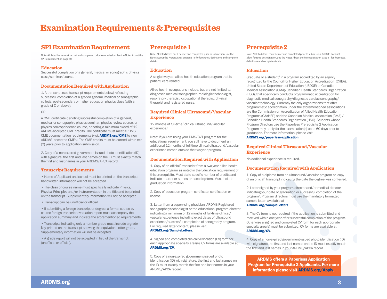# **Examination Requirements & Prerequisites**

# **SPI Examination Requirement**

Note: All listed items must be met and completed prior to submission. See the Notes About the SPI Requirement on page 10.

### **Education**

Successful completion of a general, medical or sonographic physics class/seminar/course.

### **Documentation Required with Application**

1. A transcript (see transcript requirements below) refecting successful completion of a graded general, medical or sonographic college, post-secondary or higher education physics class (with a grade of C or above);

OR

A CME certifcate denoting successful completion of a general, medical or sonographic physics seminar, physics review course, or physics correspondence course, denoting a minimum award of 12 ARDMS-accepted CME credits. The certifcate must meet ARDMS CME documentation requirements (visit [ARDMS.org/CME](https://www.ardms.org/maintain-certification/cme/) to view ARDMS- accepted CMEs). The CME credits must be earned within two (2) years prior to application submission.

2. Copy of a non-expired government-issued photo identification (ID) with signature; the first and last names on the ID must exactly match the frst and last names in your ARDMS/APCA record.

### **Transcript Requirements**

• Name of Applicant and school must be printed on the transcript; handwritten information will not be accepted.

• The class or course name must specifically indicate Physics, Physical Principles and/or Instrumentation in the title and be printed on the transcript. Supplementary information will not be accepted.

• Transcript can be unofficial or official.

• If submitting a foreign transcript or degree, a formal course by course foreign transcript evaluation report must accompany the application summary and indicate the aforementioned requirements.

• Transcripts indicating only a number grade must include a grade key printed on the transcript showing the equivalent letter grade. Supplementary information will not be accepted.

• A grade report will not be accepted in lieu of the transcript (unofficial or official).

# **Prerequisite 1**

Note: All listed items must be met and completed prior to submission. See the Notes About the Prerequisites on page 11 for footnotes, defnitions and complete details.

### **Education**

A single two-year allied health education program that is patient- care related.<sup>1</sup>

Allied health occupations include, but are not limited to, diagnostic medical sonographer, radiologic technologist, respiratory therapist, occupational therapist, physical therapist and registered nurse.

### **Required Clinical Ultrasound/Vascular Experience**

12 months of full-time<sup>2</sup> clinical ultrasound/vascular experience.3

Note: If you are using your DMS/CVT program for the educational requirement, you still have to document an additional 12 months of full-time clinical ultrasound/vascular experience earned outside the two-year program.

### **Documentation Required with Application**

1. Copy of an official<sup>7</sup> transcript from a two-year allied health education program as noted in the Education requirement of this prerequisite. Must state specific number of credits and indicate quarter or semester based system. Must include graduation information.

2. Copy of education program certificate, certification or license.

3. Letter from a supervising physician, ARDMS-Registered sonographer/technologist or the educational program director indicating a minimum of 12 months of full-time clinical/ vascular experience including exact dates of ultrasound experience/successful completion of sonography program. For required letter content, please visit

### [ARDMS.org/SampleLetters](https://www.ardms.org/get-certified/application-and-exam-resources/sample-letters/).

4. Signed and completed clinical verifcation (CV) form for each appropriate specialty area(s). CV forms are available at [ARDMS.org/CV](https://www.ardms.org/get-certified/application-and-exam-resources/cv-forms/).

5. Copy of a non-expired government-issued photo identification (ID) with signature; the first and last names on the ID must exactly match the frst and last names in your ARDMS/APCA record.

# **Prerequisite 2**

Note: All listed items must be met and completed prior to submission. ARDMS does not allow for retro accreditation. See the Notes About the Prerequisites on page 11 for footnotes, defnitions and complete details.

### **Education**

Graduate or a student<sup>6</sup> in a program accredited by an agency recognized by the Council for Higher Education Accreditation (CHEA), United States Department of Education (USDOE) or Canadian Medical Association (CMA)/Canadian Health Standards Organization (HSO), that specifcally conducts programmatic accreditation for diagnostic medical sonography/diagnostic cardiac sonography/ vascular technology. Currently the only organizations that offer programmatic accreditation under the aforementioned associations are the Commission on Accreditation of Allied Health Education Programs (CAAHEP) and the Canadian Medical Association (CMA) / Canadian Health Standards Organization (HSO). Students whose Program Directors use the Paperless Prerequisite 2 Application Program may apply for the examination(s) up to 60 days prior to graduation. For more information, please visit [ARDMS.org/paperless-application](https://www.ardms.org/discover-ardms/students/paperless-application/).

### **Required Clinical Ultrasound/Vascular Experience**

No additional experience is required.

### **Documentation Required with Application**

1. Copy of a diploma from an ultrasound/vascular program or copy of an official<sup>7</sup> transcript indicating the date the degree was conferred.

2. Letter signed by your program director and/or medical director indicating your date of graduation or successful completion of the program4. Program directors must use the mandatory formatted sample letter, available at [ARDMS.org/SampleLetters](https://www.ardms.org/get-certified/application-and-exam-resources/sample-letters/).

# 3. The CV form is not required if the application is submitted and

received within one year after successful completion of the program. Otherwise a signed and completed CV form for each appropriate specialty area(s) must be submitted. CV forms are available at [ARDMS.org/CV](https://www.ardms.org/get-certified/application-and-exam-resources/cv-forms/).

4. Copy of a non-expired government-issued photo identifcation (ID) with signature; the first and last names on the ID must exactly match the first and last names in your ARDMS/APCA record.

ARDMS offers a Paperless Application Program for Prerequisite 2 Applicants. For more information please visit [ARDMS.org/Apply](https://www.ardms.org/discover-ardms/students/paperless-application/).

[ARDMS.org](https://www.ardms.org/)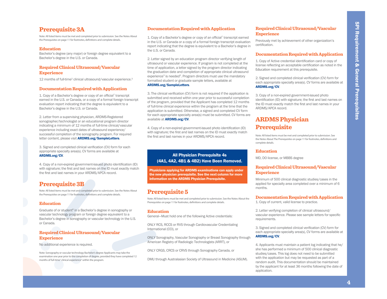indicating a minimum of 12 months of full-time clinical/vascular experience including exact dates of ultrasound experience/ successful completion of the sonography program. For required letter content, please visit **[ARDMS.org/SampleLetters](https://www.ardms.org/get-certified/application-and-exam-resources/sample-letters/)**.

3. Signed and completed clinical verifcation (CV) form for each appropriate specialty area(s). CV forms are available at [ARDMS.org/CV](https://www.ardms.org/get-certified/application-and-exam-resources/cv-forms/).

4. Copy of a non-expired government-issued photo identifcation (ID) with signature; the first and last names on the ID must exactly match the first and last names in your ARDMS/APCA record.

## **Prerequisite 3B**

Note: All listed items must be met and completed prior to submission. See the Notes About the Prerequisites on page 11 for footnotes, defnitions and complete details.

### **Education**

Graduate of or student<sup>6</sup> in a Bachelor's degree in sonography or vascular technology program or foreign degree equivalent to a Bachelor's degree in sonography or vascular technology in the U.S. or Canada.

### **Required Clinical Ultrasound/Vascular Experience**

No additional experience is required.

Note: Sonography or vascular technology Bachelor's degree Applicants may take the examination one year prior to the completion of degree, provided they have completed 12 months of full-time<sup>2</sup> clinical experience<sup>3</sup> within the program.

### **Documentation Required with Application**

1. Copy of a Bachelor's degree or copy of an official<sup>7</sup> transcript earned in the U.S. or Canada or a copy of a formal foreign transcript evaluation report indicating that the degree is equivalent to a Bachelor's degree in the U.S. or Canada.

2. Letter signed by an education program director verifying length of ultrasound or vascular experience. If program is not completed at the time of application, a letter signed by the program director indicating the graduation date and completion of appropriate clinical ultrasound experience<sup>3</sup> is needed<sup>5</sup>. Program directors must use the mandatory formatted student or graduate sample letters, available at

### [ARDMS.org/SampleLetters](https://www.ardms.org/get-certified/application-and-exam-resources/sample-letters/).

**Prerequisite 3A.** Documentation Required with Application Required Clinical Ultrasound/Vascular<br>
Mechines methods be a copy of a dischere of copy of a distributed for the control of the properties and the set of the set o 3. The clinical verifcation (CV) form is not required if the application is submitted and received within one year prior to successful completion of the program, provided that the Applicant has completed 12 months of full-time clinical experience within the program at the time that the application is submitted. Otherwise, a signed and completed CV form for each appropriate specialty area(s) must be submitted. CV forms are available at [ARDMS.org/CV](https://www.ardms.org/get-certified/application-and-exam-resources/cv-forms/).

> 4. Copy of a non-expired government-issued photo identifcation (ID) with signature; the first and last names on the ID must exactly match the frst and last names in your ARDMS/APCA record.

### All Physician Prerequisite 4s (4A1, 4A2, 4B1 & 4B2) Have Been Removed.

Physicians applying for ARDMS examinations can apply under the new physician prerequisite. See the next column for more information on the ARDMS Physician Prerequisite.

# **Prerequisite 5**

Note: All listed items must be met and completed prior to submission. See the Notes About the Prerequisites on page 11 for footnotes, defnitions and complete details.

### **Education**

General—Must hold one of the following Active credentials:

ONLY RCS, RCCS or RVS through Cardiovascular Credentialing International (CCI), or

ONLY Sonography, Vascular Sonography or Breast Sonography through American Registry of Radiologic Technologists (ARRT), or

ONLY CRGS, CRCS or CRVS through Sonography Canada, or

DMU through Australasian Society of Ultrasound in Medicine (ASUM).

### **Required Clinical Ultrasound/Vascular Experience**

Previously met by achievement of other organization's certification.

### **Documentation Required with Application**

1. Copy of Active credential identifcation card or copy of license refecting an acceptable certifcation as noted in the Education requirement at this prerequisite.

2. Signed and completed clinical verifcation (CV) form for each appropriate specialty area(s). CV forms are available at [ARDMS.org/CV](https://www.ardms.org/get-certified/application-and-exam-resources/cv-forms/).

3. Copy of a non-expired government-issued photo identification (ID) with signature; the first and last names on the ID must exactly match the frst and last names in your ARDMS/APCA record.

# **ARDMS Physician Prerequisite**

Note: All listed items must be met and completed prior to submission. See the Notes About The Prerequisites on page 11 for footnotes, defnitions and complete details.

### **Education**

MD, DO license, or MBBS degree

### **Required Clinical Ultrasound/Vascular Experience**

Minimum of 500 clinical diagnostic studies/cases in the applied for specialty area completed over a minimum of 6 months.

### **Documentation Required with Application**

1. Copy of current, valid license to practice.

2. Letter verifying completion of clinical ultrasound/ vascular experience. Please see sample letters for specifc requirements.

3. Signed and completed clinical verifcation (CV) form for each appropriate specialty area(s), CV forms are available at [ARDMS.org/CV](https://www.ardms.org/get-certified/application-and-exam-resources/cv-forms/).

4. Applicants must maintain a patient log indicating that he/ she has performed a minimum of 500 clinical diagnostic studies/cases. This log does not need to be submitted with the application but may be requested as part of a random audit. This documentation should be maintained by the applicant for at least 36 months following the date of application.